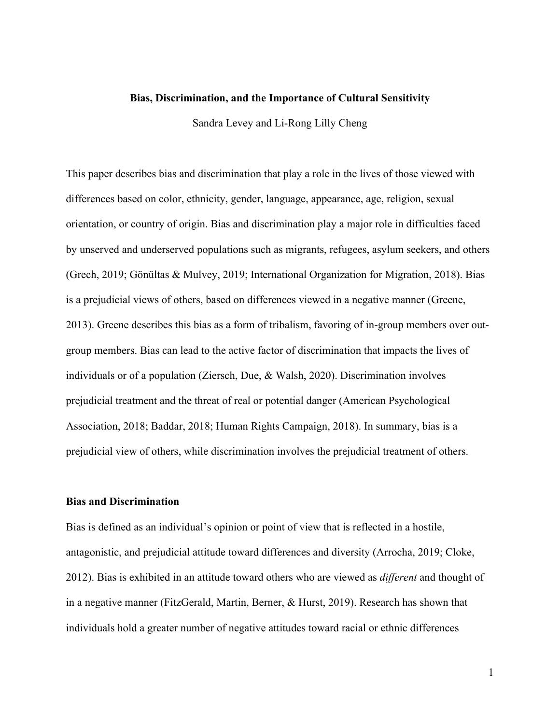## **Bias, Discrimination, and the Importance of Cultural Sensitivity**

Sandra Levey and Li-Rong Lilly Cheng

This paper describes bias and discrimination that play a role in the lives of those viewed with differences based on color, ethnicity, gender, language, appearance, age, religion, sexual orientation, or country of origin. Bias and discrimination play a major role in difficulties faced by unserved and underserved populations such as migrants, refugees, asylum seekers, and others (Grech, 2019; Gönültas & Mulvey, 2019; International Organization for Migration, 2018). Bias is a prejudicial views of others, based on differences viewed in a negative manner (Greene, 2013). Greene describes this bias as a form of tribalism, favoring of in-group members over outgroup members. Bias can lead to the active factor of discrimination that impacts the lives of individuals or of a population (Ziersch, Due, & Walsh, 2020). Discrimination involves prejudicial treatment and the threat of real or potential danger (American Psychological Association, 2018; Baddar, 2018; Human Rights Campaign, 2018). In summary, bias is a prejudicial view of others, while discrimination involves the prejudicial treatment of others.

## **Bias and Discrimination**

Bias is defined as an individual's opinion or point of view that is reflected in a hostile, antagonistic, and prejudicial attitude toward differences and diversity (Arrocha, 2019; Cloke, 2012). Bias is exhibited in an attitude toward others who are viewed as *different* and thought of in a negative manner (FitzGerald, Martin, Berner, & Hurst, 2019). Research has shown that individuals hold a greater number of negative attitudes toward racial or ethnic differences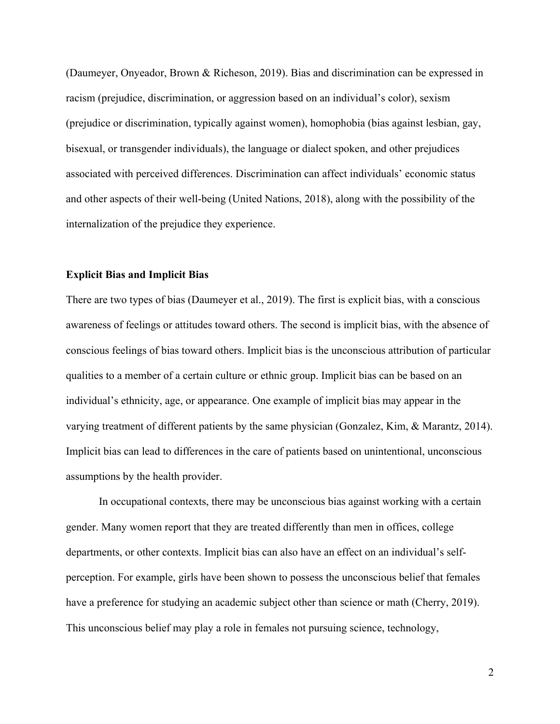(Daumeyer, Onyeador, Brown & Richeson, 2019). Bias and discrimination can be expressed in racism (prejudice, discrimination, or aggression based on an individual's color), sexism (prejudice or discrimination, typically against women), homophobia (bias against lesbian, gay, bisexual, or transgender individuals), the language or dialect spoken, and other prejudices associated with perceived differences. Discrimination can affect individuals' economic status and other aspects of their well-being (United Nations, 2018), along with the possibility of the internalization of the prejudice they experience.

## **Explicit Bias and Implicit Bias**

There are two types of bias (Daumeyer et al., 2019). The first is explicit bias, with a conscious awareness of feelings or attitudes toward others. The second is implicit bias, with the absence of conscious feelings of bias toward others. Implicit bias is the unconscious attribution of particular qualities to a member of a certain culture or ethnic group. Implicit bias can be based on an individual's ethnicity, age, or appearance. One example of implicit bias may appear in the varying treatment of different patients by the same physician (Gonzalez, Kim, & Marantz, 2014). Implicit bias can lead to differences in the care of patients based on unintentional, unconscious assumptions by the health provider.

In occupational contexts, there may be unconscious bias against working with a certain gender. Many women report that they are treated differently than men in offices, college departments, or other contexts. Implicit bias can also have an effect on an individual's selfperception. For example, girls have been shown to possess the unconscious belief that females have a preference for studying an academic subject other than science or math (Cherry, 2019). This unconscious belief may play a role in females not pursuing science, technology,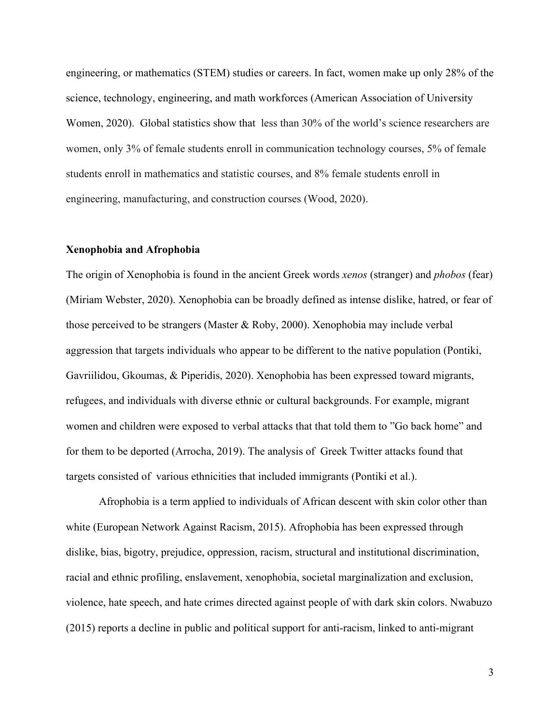engineering, or mathematics (STEM) studies or careers. In fact, women make up only 28% of the science, technology, engineering, and math workforces (American Association of University Women, 2020). Global statistics show that less than 30% of the world's science researchers are women, only 3% of female students enroll in communication technology courses, 5% of female students enroll in mathematics and statistic courses, and 8% female students enroll in engineering, manufacturing, and construction courses (Wood, 2020).

#### **Xenophobia and Afrophobia**

The origin of Xenophobia is found in the ancient Greek words *xenos* (stranger) and *phobos* (fear) (Miriam Webster, 2020). Xenophobia can be broadly defined as intense dislike, hatred, or fear of those perceived to be strangers (Master & Roby, 2000). Xenophobia may include verbal aggression that targets individuals who appear to be different to the native population (Pontiki, Gavriilidou, Gkoumas, & Piperidis, 2020). Xenophobia has been expressed toward migrants, refugees, and individuals with diverse ethnic or cultural backgrounds. For example, migrant women and children were exposed to verbal attacks that that told them to "Go back home" and for them to be deported (Arrocha, 2019). The analysis of Greek Twitter attacks found that targets consisted of various ethnicities that included immigrants (Pontiki et al.).

Afrophobia is a term applied to individuals of African descent with skin color other than white (European Network Against Racism, 2015). Afrophobia has been expressed through dislike, bias, bigotry, prejudice, oppression, racism, structural and institutional discrimination, racial and ethnic profiling, enslavement, xenophobia, societal marginalization and exclusion, violence, hate speech, and hate crimes directed against people of with dark skin colors. Nwabuzo (2015) reports a decline in public and political support for anti-racism, linked to anti-migrant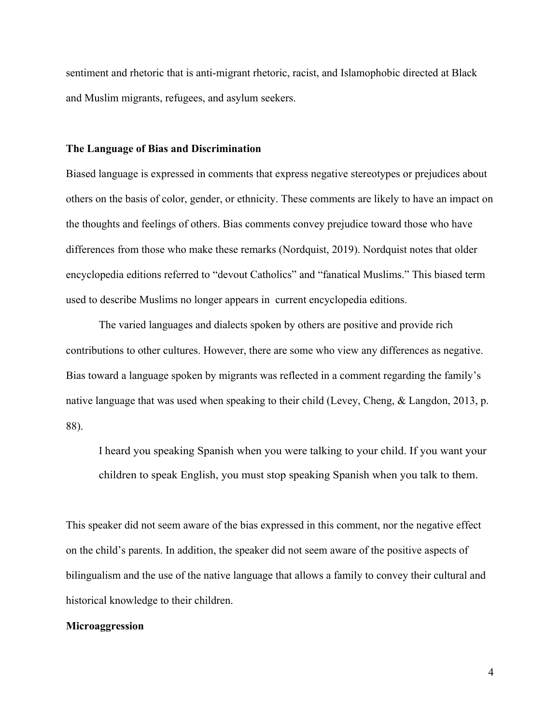sentiment and rhetoric that is anti-migrant rhetoric, racist, and Islamophobic directed at Black and Muslim migrants, refugees, and asylum seekers.

## **The Language of Bias and Discrimination**

Biased language is expressed in comments that express negative stereotypes or prejudices about others on the basis of color, gender, or ethnicity. These comments are likely to have an impact on the thoughts and feelings of others. Bias comments convey prejudice toward those who have differences from those who make these remarks (Nordquist, 2019). Nordquist notes that older encyclopedia editions referred to "devout Catholics" and "fanatical Muslims." This biased term used to describe Muslims no longer appears in current encyclopedia editions.

The varied languages and dialects spoken by others are positive and provide rich contributions to other cultures. However, there are some who view any differences as negative. Bias toward a language spoken by migrants was reflected in a comment regarding the family's native language that was used when speaking to their child (Levey, Cheng, & Langdon, 2013, p. 88).

I heard you speaking Spanish when you were talking to your child. If you want your children to speak English, you must stop speaking Spanish when you talk to them.

This speaker did not seem aware of the bias expressed in this comment, nor the negative effect on the child's parents. In addition, the speaker did not seem aware of the positive aspects of bilingualism and the use of the native language that allows a family to convey their cultural and historical knowledge to their children.

# **Microaggression**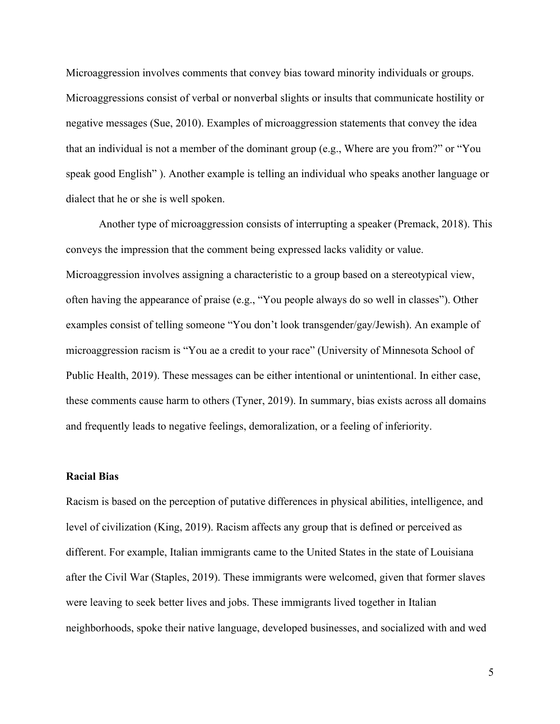Microaggression involves comments that convey bias toward minority individuals or groups. Microaggressions consist of verbal or nonverbal slights or insults that communicate hostility or negative messages (Sue, 2010). Examples of microaggression statements that convey the idea that an individual is not a member of the dominant group (e.g., Where are you from?" or "You speak good English" ). Another example is telling an individual who speaks another language or dialect that he or she is well spoken.

Another type of microaggression consists of interrupting a speaker (Premack, 2018). This conveys the impression that the comment being expressed lacks validity or value. Microaggression involves assigning a characteristic to a group based on a stereotypical view, often having the appearance of praise (e.g., "You people always do so well in classes"). Other examples consist of telling someone "You don't look transgender/gay/Jewish). An example of microaggression racism is "You ae a credit to your race" (University of Minnesota School of Public Health, 2019). These messages can be either intentional or unintentional. In either case, these comments cause harm to others (Tyner, 2019). In summary, bias exists across all domains and frequently leads to negative feelings, demoralization, or a feeling of inferiority.

# **Racial Bias**

Racism is based on the perception of putative differences in physical abilities, intelligence, and level of civilization (King, 2019). Racism affects any group that is defined or perceived as different. For example, Italian immigrants came to the United States in the state of Louisiana after the Civil War (Staples, 2019). These immigrants were welcomed, given that former slaves were leaving to seek better lives and jobs. These immigrants lived together in Italian neighborhoods, spoke their native language, developed businesses, and socialized with and wed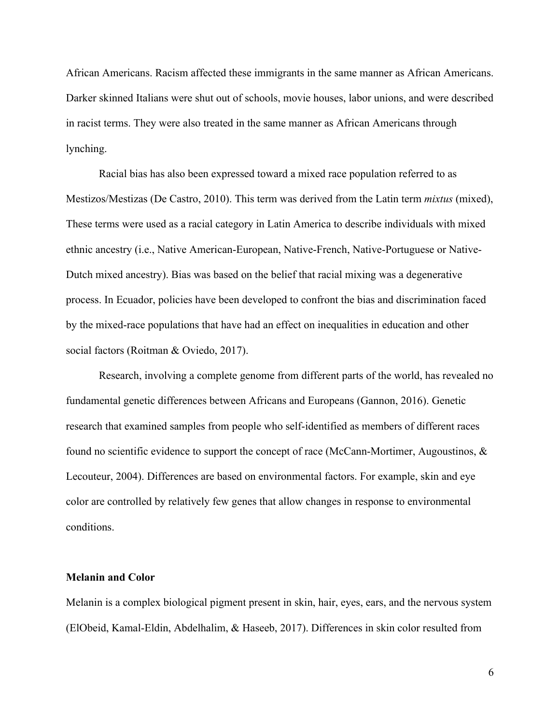African Americans. Racism affected these immigrants in the same manner as African Americans. Darker skinned Italians were shut out of schools, movie houses, labor unions, and were described in racist terms. They were also treated in the same manner as African Americans through lynching.

Racial bias has also been expressed toward a mixed race population referred to as Mestizos/Mestizas (De Castro, 2010). This term was derived from the Latin term *mixtus* (mixed), These terms were used as a racial category in Latin America to describe individuals with mixed ethnic ancestry (i.e., Native American-European, Native-French, Native-Portuguese or Native-Dutch mixed ancestry). Bias was based on the belief that racial mixing was a degenerative process. In Ecuador, policies have been developed to confront the bias and discrimination faced by the mixed-race populations that have had an effect on inequalities in education and other social factors (Roitman & Oviedo, 2017).

Research, involving a complete genome from different parts of the world, has revealed no fundamental genetic differences between Africans and Europeans (Gannon, 2016). Genetic research that examined samples from people who self-identified as members of different races found no scientific evidence to support the concept of race (McCann-Mortimer, Augoustinos, & Lecouteur, 2004). Differences are based on environmental factors. For example, skin and eye color are controlled by relatively few genes that allow changes in response to environmental conditions.

## **Melanin and Color**

Melanin is a complex biological pigment present in skin, hair, eyes, ears, and the nervous system (ElObeid, Kamal-Eldin, Abdelhalim, & Haseeb, 2017). Differences in skin color resulted from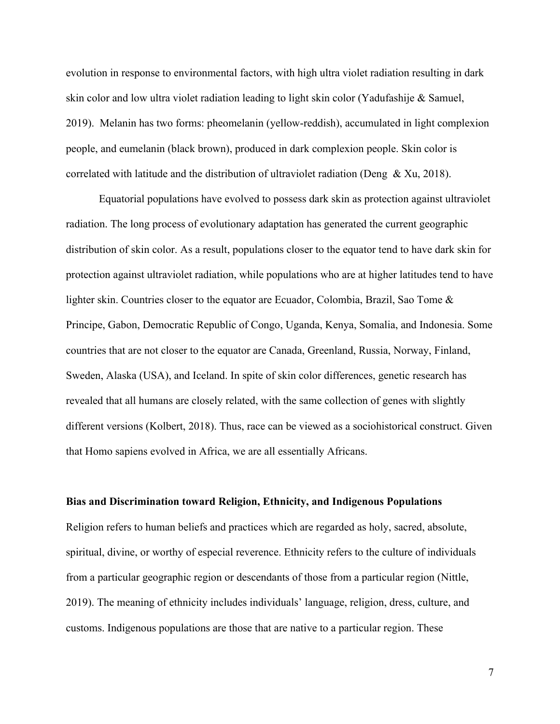evolution in response to environmental factors, with high ultra violet radiation resulting in dark skin color and low ultra violet radiation leading to light skin color (Yadufashije & Samuel, 2019). Melanin has two forms: pheomelanin (yellow-reddish), accumulated in light complexion people, and eumelanin (black brown), produced in dark complexion people. Skin color is correlated with latitude and the distribution of ultraviolet radiation (Deng  $\&$  Xu, 2018).

Equatorial populations have evolved to possess dark skin as protection against ultraviolet radiation. The long process of evolutionary adaptation has generated the current geographic distribution of skin color. As a result, populations closer to the equator tend to have dark skin for protection against ultraviolet radiation, while populations who are at higher latitudes tend to have lighter skin. Countries closer to the equator are Ecuador, Colombia, Brazil, Sao Tome & Principe, Gabon, Democratic Republic of Congo, Uganda, Kenya, Somalia, and Indonesia. Some countries that are not closer to the equator are Canada, Greenland, Russia, Norway, Finland, Sweden, Alaska (USA), and Iceland. In spite of skin color differences, genetic research has revealed that all humans are closely related, with the same collection of genes with slightly different versions (Kolbert, 2018). Thus, race can be viewed as a sociohistorical construct. Given that Homo sapiens evolved in Africa, we are all essentially Africans.

#### **Bias and Discrimination toward Religion, Ethnicity, and Indigenous Populations**

Religion refers to human beliefs and practices which are regarded as holy, sacred, absolute, spiritual, divine, or worthy of especial reverence. Ethnicity refers to the culture of individuals from a particular geographic region or descendants of those from a particular region (Nittle, 2019). The meaning of ethnicity includes individuals' language, religion, dress, culture, and customs. Indigenous populations are those that are native to a particular region. These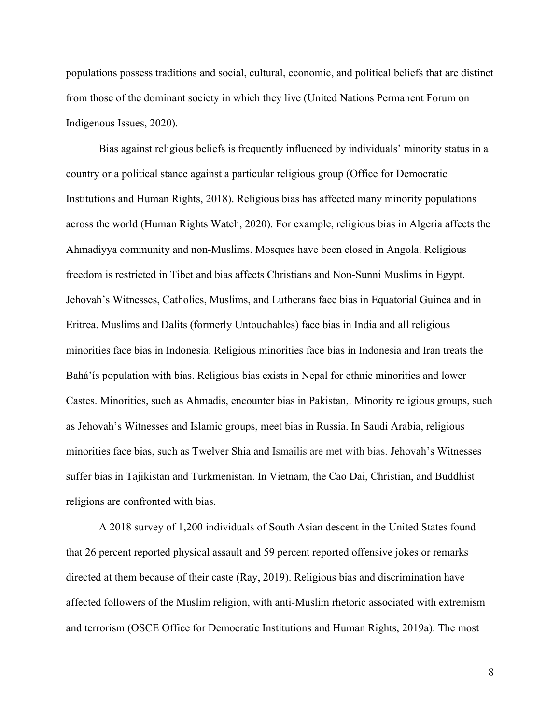populations possess traditions and social, cultural, economic, and political beliefs that are distinct from those of the dominant society in which they live (United Nations Permanent Forum on Indigenous Issues, 2020).

Bias against religious beliefs is frequently influenced by individuals' minority status in a country or a political stance against a particular religious group (Office for Democratic Institutions and Human Rights, 2018). Religious bias has affected many minority populations across the world (Human Rights Watch, 2020). For example, religious bias in Algeria affects the Ahmadiyya community and non-Muslims. Mosques have been closed in Angola. Religious freedom is restricted in Tibet and bias affects Christians and Non-Sunni Muslims in Egypt. Jehovah's Witnesses, Catholics, Muslims, and Lutherans face bias in Equatorial Guinea and in Eritrea. Muslims and Dalits (formerly Untouchables) face bias in India and all religious minorities face bias in Indonesia. Religious minorities face bias in Indonesia and Iran treats the Bahá'ís population with bias. Religious bias exists in Nepal for ethnic minorities and lower Castes. Minorities, such as Ahmadis, encounter bias in Pakistan,. Minority religious groups, such as Jehovah's Witnesses and Islamic groups, meet bias in Russia. In Saudi Arabia, religious minorities face bias, such as Twelver Shia and Ismailis are met with bias. Jehovah's Witnesses suffer bias in Tajikistan and Turkmenistan. In Vietnam, the Cao Dai, Christian, and Buddhist religions are confronted with bias.

A 2018 survey of 1,200 individuals of South Asian descent in the United States found that 26 percent reported physical assault and 59 percent reported offensive jokes or remarks directed at them because of their caste (Ray, 2019). Religious bias and discrimination have affected followers of the Muslim religion, with anti-Muslim rhetoric associated with extremism and terrorism (OSCE Office for Democratic Institutions and Human Rights, 2019a). The most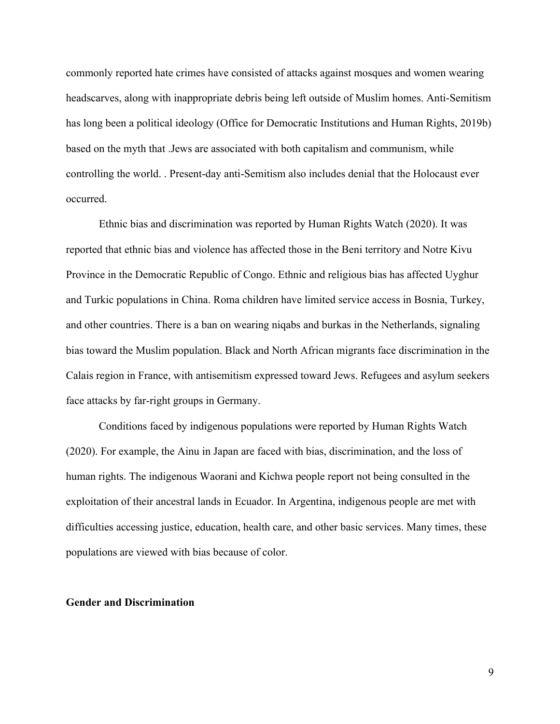commonly reported hate crimes have consisted of attacks against mosques and women wearing headscarves, along with inappropriate debris being left outside of Muslim homes. Anti-Semitism has long been a political ideology (Office for Democratic Institutions and Human Rights, 2019b) based on the myth that .Jews are associated with both capitalism and communism, while controlling the world. . Present-day anti-Semitism also includes denial that the Holocaust ever occurred.

Ethnic bias and discrimination was reported by Human Rights Watch (2020). It was reported that ethnic bias and violence has affected those in the Beni territory and Notre Kivu Province in the Democratic Republic of Congo. Ethnic and religious bias has affected Uyghur and Turkic populations in China. Roma children have limited service access in Bosnia, Turkey, and other countries. There is a ban on wearing niqabs and burkas in the Netherlands, signaling bias toward the Muslim population. Black and North African migrants face discrimination in the Calais region in France, with antisemitism expressed toward Jews. Refugees and asylum seekers face attacks by far-right groups in Germany.

Conditions faced by indigenous populations were reported by Human Rights Watch (2020). For example, the Ainu in Japan are faced with bias, discrimination, and the loss of human rights. The indigenous Waorani and Kichwa people report not being consulted in the exploitation of their ancestral lands in Ecuador. In Argentina, indigenous people are met with difficulties accessing justice, education, health care, and other basic services. Many times, these populations are viewed with bias because of color.

# **Gender and Discrimination**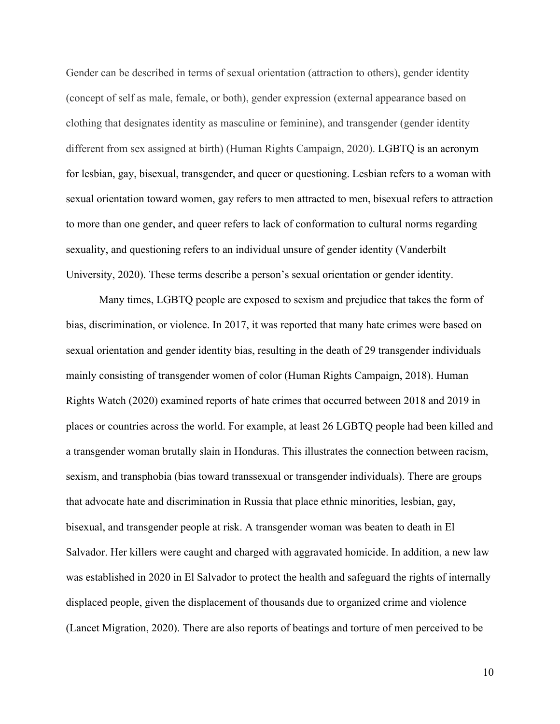Gender can be described in terms of sexual orientation (attraction to others), gender identity (concept of self as male, female, or both), gender expression (external appearance based on clothing that designates identity as masculine or feminine), and transgender (gender identity different from sex assigned at birth) (Human Rights Campaign, 2020). LGBTQ is an acronym for lesbian, gay, bisexual, transgender, and queer or questioning. Lesbian refers to a woman with sexual orientation toward women, gay refers to men attracted to men, bisexual refers to attraction to more than one gender, and queer refers to lack of conformation to cultural norms regarding sexuality, and questioning refers to an individual unsure of gender identity (Vanderbilt University, 2020). These terms describe a person's sexual orientation or gender identity.

Many times, LGBTQ people are exposed to sexism and prejudice that takes the form of bias, discrimination, or violence. In 2017, it was reported that many hate crimes were based on sexual orientation and gender identity bias, resulting in the death of 29 transgender individuals mainly consisting of transgender women of color (Human Rights Campaign, 2018). Human Rights Watch (2020) examined reports of hate crimes that occurred between 2018 and 2019 in places or countries across the world. For example, at least 26 LGBTQ people had been killed and a transgender woman brutally slain in Honduras. This illustrates the connection between racism, sexism, and transphobia (bias toward transsexual or transgender individuals). There are groups that advocate hate and discrimination in Russia that place ethnic minorities, lesbian, gay, bisexual, and transgender people at risk. A transgender woman was beaten to death in El Salvador. Her killers were caught and charged with aggravated homicide. In addition, a new law was established in 2020 in El Salvador to protect the health and safeguard the rights of internally displaced people, given the displacement of thousands due to organized crime and violence (Lancet Migration, 2020). There are also reports of beatings and torture of men perceived to be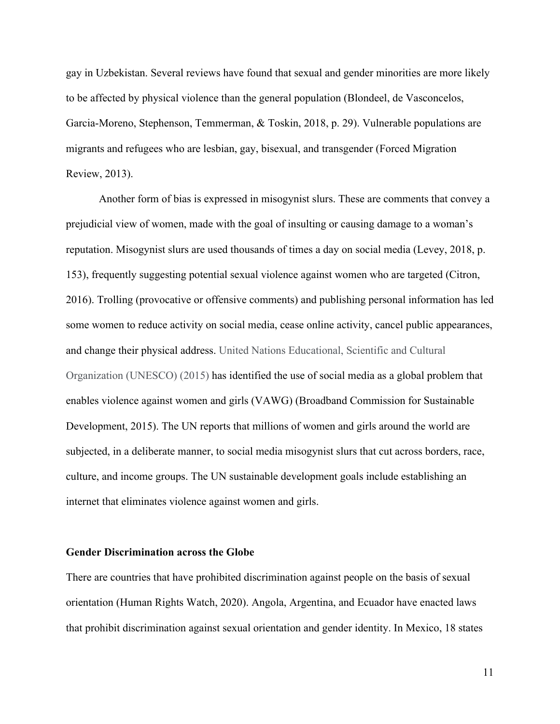gay in Uzbekistan. Several reviews have found that sexual and gender minorities are more likely to be affected by physical violence than the general population (Blondeel, de Vasconcelos, Garcia-Moreno, Stephenson, Temmerman, & Toskin, 2018, p. 29). Vulnerable populations are migrants and refugees who are lesbian, gay, bisexual, and transgender (Forced Migration Review, 2013).

Another form of bias is expressed in misogynist slurs. These are comments that convey a prejudicial view of women, made with the goal of insulting or causing damage to a woman's reputation. Misogynist slurs are used thousands of times a day on social media (Levey, 2018, p. 153), frequently suggesting potential sexual violence against women who are targeted (Citron, 2016). Trolling (provocative or offensive comments) and publishing personal information has led some women to reduce activity on social media, cease online activity, cancel public appearances, and change their physical address. United Nations Educational, Scientific and Cultural Organization (UNESCO) (2015) has identified the use of social media as a global problem that enables violence against women and girls (VAWG) (Broadband Commission for Sustainable Development, 2015). The UN reports that millions of women and girls around the world are subjected, in a deliberate manner, to social media misogynist slurs that cut across borders, race, culture, and income groups. The UN sustainable development goals include establishing an internet that eliminates violence against women and girls.

# **Gender Discrimination across the Globe**

There are countries that have prohibited discrimination against people on the basis of sexual orientation (Human Rights Watch, 2020). Angola, Argentina, and Ecuador have enacted laws that prohibit discrimination against sexual orientation and gender identity. In Mexico, 18 states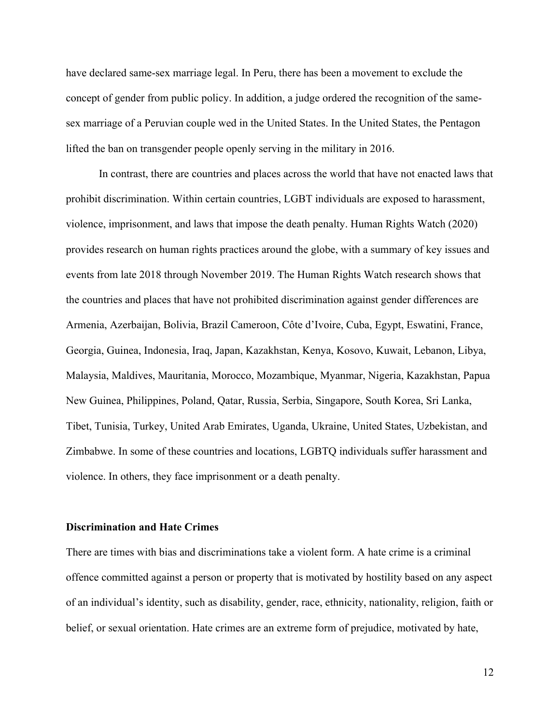have declared same-sex marriage legal. In Peru, there has been a movement to exclude the concept of gender from public policy. In addition, a judge ordered the recognition of the samesex marriage of a Peruvian couple wed in the United States. In the United States, the Pentagon lifted the ban on transgender people openly serving in the military in 2016.

In contrast, there are countries and places across the world that have not enacted laws that prohibit discrimination. Within certain countries, LGBT individuals are exposed to harassment, violence, imprisonment, and laws that impose the death penalty. Human Rights Watch (2020) provides research on human rights practices around the globe, with a summary of key issues and events from late 2018 through November 2019. The Human Rights Watch research shows that the countries and places that have not prohibited discrimination against gender differences are Armenia, Azerbaijan, Bolivia, Brazil Cameroon, Côte d'Ivoire, Cuba, Egypt, Eswatini, France, Georgia, Guinea, Indonesia, Iraq, Japan, Kazakhstan, Kenya, Kosovo, Kuwait, Lebanon, Libya, Malaysia, Maldives, Mauritania, Morocco, Mozambique, Myanmar, Nigeria, Kazakhstan, Papua New Guinea, Philippines, Poland, Qatar, Russia, Serbia, Singapore, South Korea, Sri Lanka, Tibet, Tunisia, Turkey, United Arab Emirates, Uganda, Ukraine, United States, Uzbekistan, and Zimbabwe. In some of these countries and locations, LGBTQ individuals suffer harassment and violence. In others, they face imprisonment or a death penalty.

# **Discrimination and Hate Crimes**

There are times with bias and discriminations take a violent form. A hate crime is a criminal offence committed against a person or property that is motivated by hostility based on any aspect of an individual's identity, such as disability, gender, race, ethnicity, nationality, religion, faith or belief, or sexual orientation. Hate crimes are an extreme form of prejudice, motivated by hate,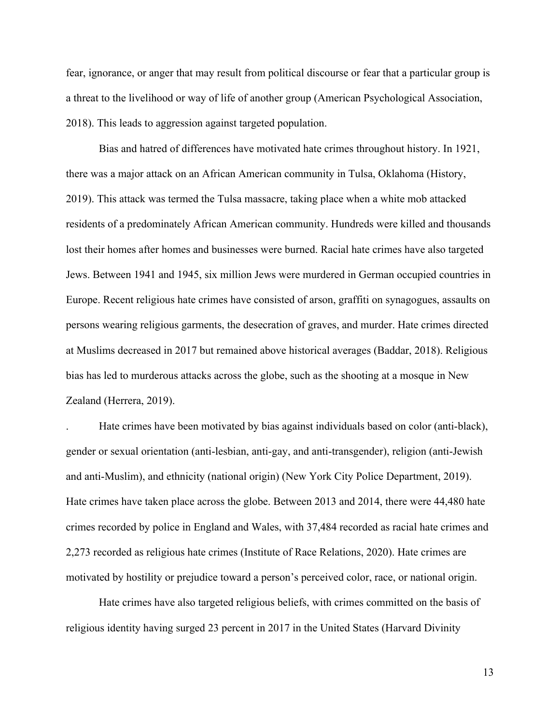fear, ignorance, or anger that may result from political discourse or fear that a particular group is a threat to the livelihood or way of life of another group (American Psychological Association, 2018). This leads to aggression against targeted population.

Bias and hatred of differences have motivated hate crimes throughout history. In 1921, there was a major attack on an African American community in Tulsa, Oklahoma (History, 2019). This attack was termed the Tulsa massacre, taking place when a white mob attacked residents of a predominately African American community. Hundreds were killed and thousands lost their homes after homes and businesses were burned. Racial hate crimes have also targeted Jews. Between 1941 and 1945, six million Jews were murdered in German occupied countries in Europe. Recent religious hate crimes have consisted of arson, graffiti on synagogues, assaults on persons wearing religious garments, the desecration of graves, and murder. Hate crimes directed at Muslims decreased in 2017 but remained above historical averages (Baddar, 2018). Religious bias has led to murderous attacks across the globe, such as the shooting at a mosque in New Zealand (Herrera, 2019).

. Hate crimes have been motivated by bias against individuals based on color (anti-black), gender or sexual orientation (anti-lesbian, anti-gay, and anti-transgender), religion (anti-Jewish and anti-Muslim), and ethnicity (national origin) (New York City Police Department, 2019). Hate crimes have taken place across the globe. Between 2013 and 2014, there were 44,480 hate crimes recorded by police in England and Wales, with 37,484 recorded as racial hate crimes and 2,273 recorded as religious hate crimes (Institute of Race Relations, 2020). Hate crimes are motivated by hostility or prejudice toward a person's perceived color, race, or national origin.

Hate crimes have also targeted religious beliefs, with crimes committed on the basis of religious identity having surged 23 percent in 2017 in the United States (Harvard Divinity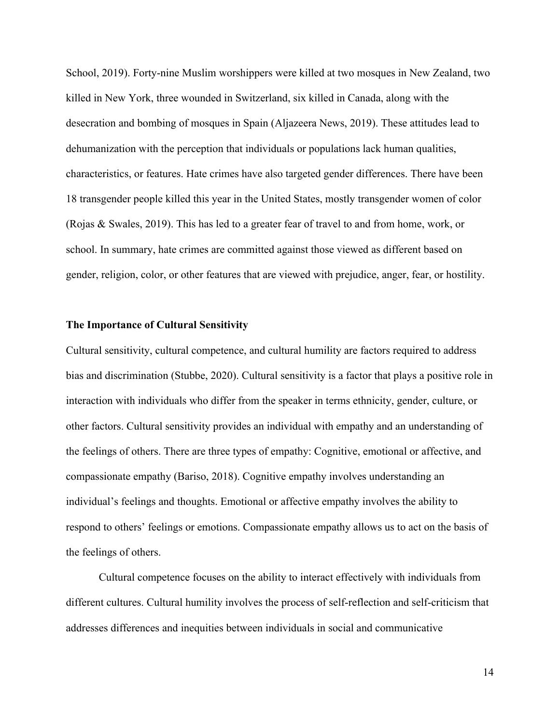School, 2019). Forty-nine Muslim worshippers were killed at two mosques in New Zealand, two killed in New York, three wounded in Switzerland, six killed in Canada, along with the desecration and bombing of mosques in Spain (Aljazeera News, 2019). These attitudes lead to dehumanization with the perception that individuals or populations lack human qualities, characteristics, or features. Hate crimes have also targeted gender differences. There have been 18 transgender people killed this year in the United States, mostly transgender women of color (Rojas & Swales, 2019). This has led to a greater fear of travel to and from home, work, or school. In summary, hate crimes are committed against those viewed as different based on gender, religion, color, or other features that are viewed with prejudice, anger, fear, or hostility.

# **The Importance of Cultural Sensitivity**

Cultural sensitivity, cultural competence, and cultural humility are factors required to address bias and discrimination (Stubbe, 2020). Cultural sensitivity is a factor that plays a positive role in interaction with individuals who differ from the speaker in terms ethnicity, gender, culture, or other factors. Cultural sensitivity provides an individual with empathy and an understanding of the feelings of others. There are three types of empathy: Cognitive, emotional or affective, and compassionate empathy (Bariso, 2018). Cognitive empathy involves understanding an individual's feelings and thoughts. Emotional or affective empathy involves the ability to respond to others' feelings or emotions. Compassionate empathy allows us to act on the basis of the feelings of others.

Cultural competence focuses on the ability to interact effectively with individuals from different cultures. Cultural humility involves the process of self-reflection and self-criticism that addresses differences and inequities between individuals in social and communicative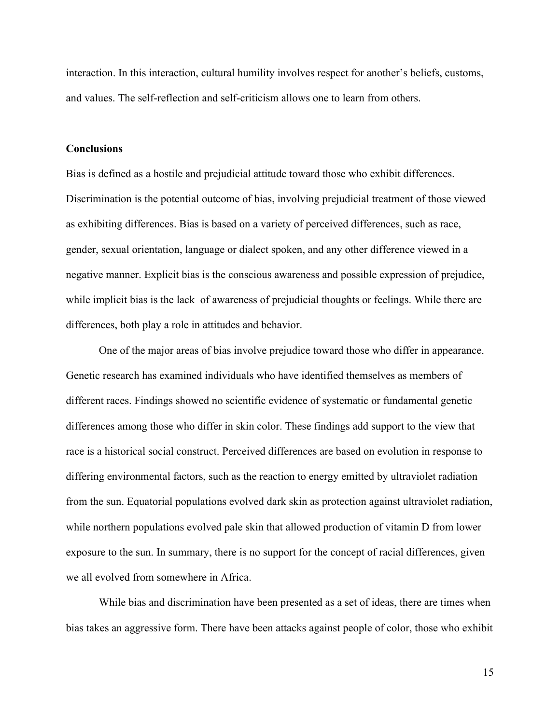interaction. In this interaction, cultural humility involves respect for another's beliefs, customs, and values. The self-reflection and self-criticism allows one to learn from others.

## **Conclusions**

Bias is defined as a hostile and prejudicial attitude toward those who exhibit differences. Discrimination is the potential outcome of bias, involving prejudicial treatment of those viewed as exhibiting differences. Bias is based on a variety of perceived differences, such as race, gender, sexual orientation, language or dialect spoken, and any other difference viewed in a negative manner. Explicit bias is the conscious awareness and possible expression of prejudice, while implicit bias is the lack of awareness of prejudicial thoughts or feelings. While there are differences, both play a role in attitudes and behavior.

One of the major areas of bias involve prejudice toward those who differ in appearance. Genetic research has examined individuals who have identified themselves as members of different races. Findings showed no scientific evidence of systematic or fundamental genetic differences among those who differ in skin color. These findings add support to the view that race is a historical social construct. Perceived differences are based on evolution in response to differing environmental factors, such as the reaction to energy emitted by ultraviolet radiation from the sun. Equatorial populations evolved dark skin as protection against ultraviolet radiation, while northern populations evolved pale skin that allowed production of vitamin D from lower exposure to the sun. In summary, there is no support for the concept of racial differences, given we all evolved from somewhere in Africa.

While bias and discrimination have been presented as a set of ideas, there are times when bias takes an aggressive form. There have been attacks against people of color, those who exhibit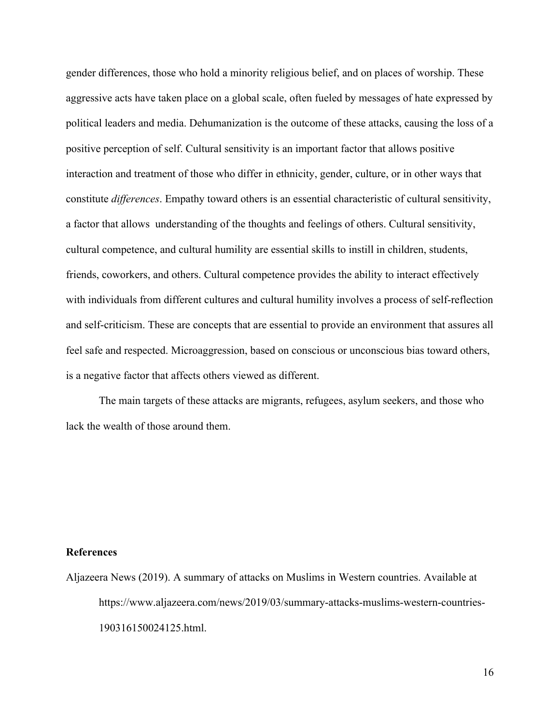gender differences, those who hold a minority religious belief, and on places of worship. These aggressive acts have taken place on a global scale, often fueled by messages of hate expressed by political leaders and media. Dehumanization is the outcome of these attacks, causing the loss of a positive perception of self. Cultural sensitivity is an important factor that allows positive interaction and treatment of those who differ in ethnicity, gender, culture, or in other ways that constitute *differences*. Empathy toward others is an essential characteristic of cultural sensitivity, a factor that allows understanding of the thoughts and feelings of others. Cultural sensitivity, cultural competence, and cultural humility are essential skills to instill in children, students, friends, coworkers, and others. Cultural competence provides the ability to interact effectively with individuals from different cultures and cultural humility involves a process of self-reflection and self-criticism. These are concepts that are essential to provide an environment that assures all feel safe and respected. Microaggression, based on conscious or unconscious bias toward others, is a negative factor that affects others viewed as different.

The main targets of these attacks are migrants, refugees, asylum seekers, and those who lack the wealth of those around them.

# **References**

Aljazeera News (2019). A summary of attacks on Muslims in Western countries. Available at https://www.aljazeera.com/news/2019/03/summary-attacks-muslims-western-countries-190316150024125.html.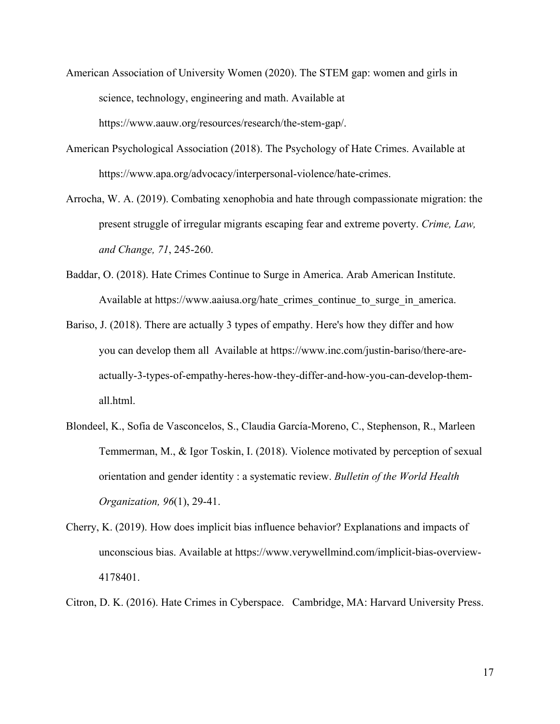- American Association of University Women (2020). The STEM gap: women and girls in science, technology, engineering and math. Available at https://www.aauw.org/resources/research/the-stem-gap/.
- American Psychological Association (2018). The Psychology of Hate Crimes. Available at https://www.apa.org/advocacy/interpersonal-violence/hate-crimes.
- Arrocha, W. A. (2019). Combating xenophobia and hate through compassionate migration: the present struggle of irregular migrants escaping fear and extreme poverty. *Crime, Law, and Change, 71*, 245-260.
- Baddar, O. (2018). Hate Crimes Continue to Surge in America. Arab American Institute. Available at https://www.aaiusa.org/hate\_crimes\_continue\_to\_surge\_in\_america.
- Bariso, J. (2018). There are actually 3 types of empathy. Here's how they differ and how you can develop them all Available at https://www.inc.com/justin-bariso/there-areactually-3-types-of-empathy-heres-how-they-differ-and-how-you-can-develop-themall.html.
- Blondeel, K., Sofia de Vasconcelos, S., Claudia García-Moreno, C., Stephenson, R., Marleen Temmerman, M., & Igor Toskin, I. (2018). Violence motivated by perception of sexual orientation and gender identity : a systematic review. *Bulletin of the World Health Organization, 96*(1), 29-41.
- Cherry, K. (2019). How does implicit bias influence behavior? Explanations and impacts of unconscious bias. Available at https://www.verywellmind.com/implicit-bias-overview-4178401.
- Citron, D. K. (2016). Hate Crimes in Cyberspace. Cambridge, MA: Harvard University Press.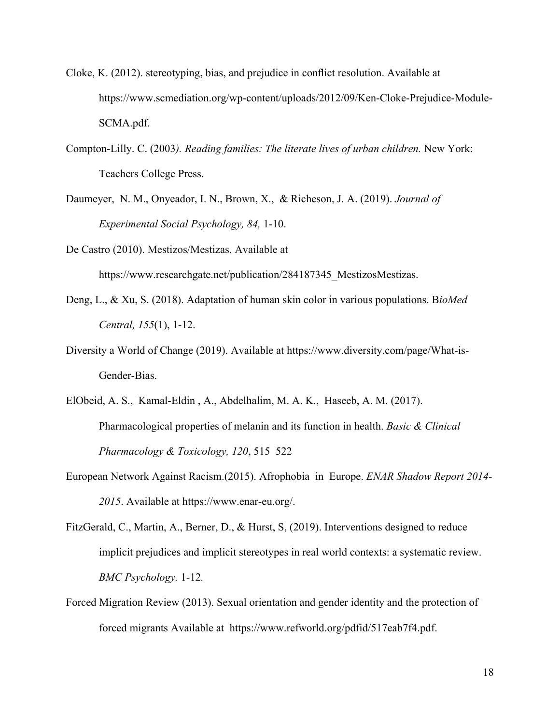- Cloke, K. (2012). stereotyping, bias, and prejudice in conflict resolution. Available at https://www.scmediation.org/wp-content/uploads/2012/09/Ken-Cloke-Prejudice-Module-SCMA.pdf.
- Compton-Lilly. C. (2003*). Reading families: The literate lives of urban children.* New York: Teachers College Press.
- Daumeyer, N. M., Onyeador, I. N., Brown, X., & Richeson, J. A. (2019). *Journal of Experimental Social Psychology, 84,* 1-10.
- De Castro (2010). Mestizos/Mestizas. Available at https://www.researchgate.net/publication/284187345 MestizosMestizas.
- Deng, L., & Xu, S. (2018). Adaptation of human skin color in various populations. B*ioMed Central, 155*(1), 1-12.
- Diversity a World of Change (2019). Available at https://www.diversity.com/page/What-is-Gender-Bias.
- ElObeid, A. S., Kamal-Eldin , A., Abdelhalim, M. A. K., Haseeb, A. M. (2017). Pharmacological properties of melanin and its function in health. *Basic & Clinical Pharmacology & Toxicology, 120*, 515–522
- European Network Against Racism.(2015). Afrophobia in Europe. *ENAR Shadow Report 2014- 2015*. Available at https://www.enar-eu.org/.
- FitzGerald, C., Martin, A., Berner, D., & Hurst, S, (2019). Interventions designed to reduce implicit prejudices and implicit stereotypes in real world contexts: a systematic review. *BMC Psychology.* 1-12*.*
- Forced Migration Review (2013). Sexual orientation and gender identity and the protection of forced migrants Available at https://www.refworld.org/pdfid/517eab7f4.pdf.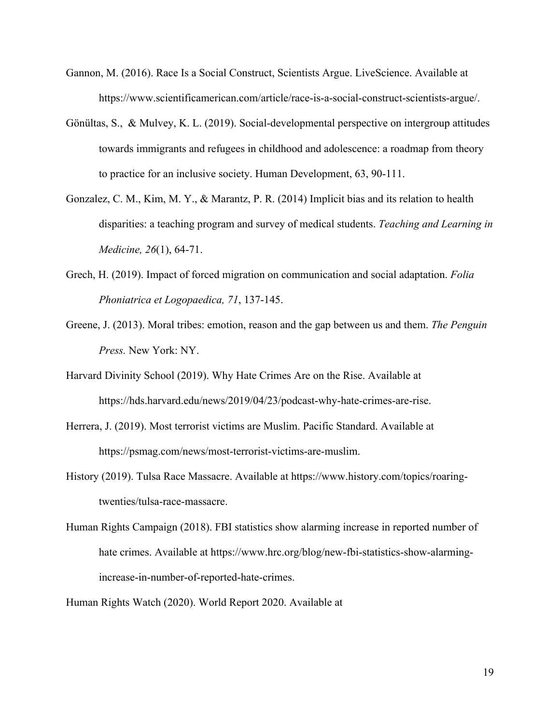- Gannon, M. (2016). Race Is a Social Construct, Scientists Argue. LiveScience. Available at https://www.scientificamerican.com/article/race-is-a-social-construct-scientists-argue/.
- Gönültas, S., & Mulvey, K. L. (2019). Social-developmental perspective on intergroup attitudes towards immigrants and refugees in childhood and adolescence: a roadmap from theory to practice for an inclusive society. Human Development, 63, 90-111.
- Gonzalez, C. M., Kim, M. Y., & Marantz, P. R. (2014) Implicit bias and its relation to health disparities: a teaching program and survey of medical students. *Teaching and Learning in Medicine, 26*(1), 64-71.
- Grech, H. (2019). Impact of forced migration on communication and social adaptation. *Folia Phoniatrica et Logopaedica, 71*, 137-145.
- Greene, J. (2013). Moral tribes: emotion, reason and the gap between us and them. *The Penguin Press.* New York: NY.
- Harvard Divinity School (2019). Why Hate Crimes Are on the Rise. Available at https://hds.harvard.edu/news/2019/04/23/podcast-why-hate-crimes-are-rise.
- Herrera, J. (2019). Most terrorist victims are Muslim. Pacific Standard. Available at https://psmag.com/news/most-terrorist-victims-are-muslim.
- History (2019). Tulsa Race Massacre. Available at https://www.history.com/topics/roaringtwenties/tulsa-race-massacre.
- Human Rights Campaign (2018). FBI statistics show alarming increase in reported number of hate crimes. Available at https://www.hrc.org/blog/new-fbi-statistics-show-alarmingincrease-in-number-of-reported-hate-crimes.
- Human Rights Watch (2020). World Report 2020. Available at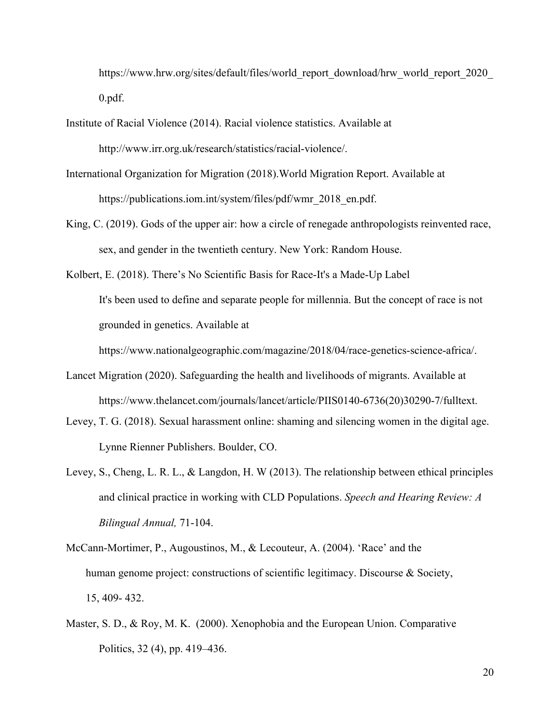https://www.hrw.org/sites/default/files/world\_report\_download/hrw\_world\_report\_2020\_ 0.pdf.

- Institute of Racial Violence (2014). Racial violence statistics. Available at http://www.irr.org.uk/research/statistics/racial-violence/.
- International Organization for Migration (2018).World Migration Report. Available at https://publications.iom.int/system/files/pdf/wmr\_2018\_en.pdf.
- King, C. (2019). Gods of the upper air: how a circle of renegade anthropologists reinvented race, sex, and gender in the twentieth century. New York: Random House.

Kolbert, E. (2018). There's No Scientific Basis for Race-It's a Made-Up Label It's been used to define and separate people for millennia. But the concept of race is not grounded in genetics. Available at

https://www.nationalgeographic.com/magazine/2018/04/race-genetics-science-africa/.

- Lancet Migration (2020). Safeguarding the health and livelihoods of migrants. Available at https://www.thelancet.com/journals/lancet/article/PIIS0140-6736(20)30290-7/fulltext.
- Levey, T. G. (2018). Sexual harassment online: shaming and silencing women in the digital age. Lynne Rienner Publishers. Boulder, CO.
- Levey, S., Cheng, L. R. L., & Langdon, H. W (2013). The relationship between ethical principles and clinical practice in working with CLD Populations. *Speech and Hearing Review: A Bilingual Annual,* 71-104.
- McCann-Mortimer, P., Augoustinos, M., & Lecouteur, A. (2004). 'Race' and the human genome project: constructions of scientific legitimacy. Discourse & Society, 15, 409- 432.
- Master, S. D., & Roy, M. K. (2000). Xenophobia and the European Union. Comparative Politics, 32 (4), pp. 419–436.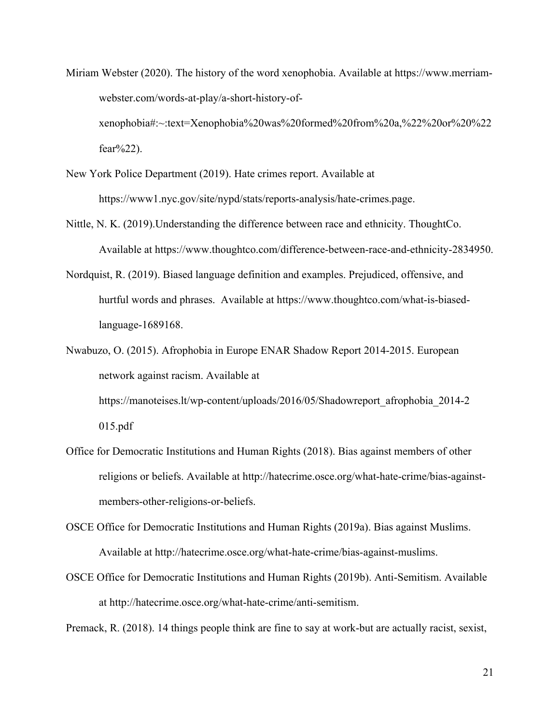- Miriam Webster (2020). The history of the word xenophobia. Available at https://www.merriamwebster.com/words-at-play/a-short-history-ofxenophobia#:~:text=Xenophobia%20was%20formed%20from%20a,%22%20or%20%22 fear%22).
- New York Police Department (2019). Hate crimes report. Available at https://www1.nyc.gov/site/nypd/stats/reports-analysis/hate-crimes.page.
- Nittle, N. K. (2019).Understanding the difference between race and ethnicity. ThoughtCo. Available at https://www.thoughtco.com/difference-between-race-and-ethnicity-2834950.
- Nordquist, R. (2019). Biased language definition and examples. Prejudiced, offensive, and hurtful words and phrases. Available at https://www.thoughtco.com/what-is-biasedlanguage-1689168.
- Nwabuzo, O. (2015). Afrophobia in Europe ENAR Shadow Report 2014-2015. European network against racism. Available at https://manoteises.lt/wp-content/uploads/2016/05/Shadowreport\_afrophobia\_2014-2 015.pdf
- Office for Democratic Institutions and Human Rights (2018). Bias against members of other religions or beliefs. Available at http://hatecrime.osce.org/what-hate-crime/bias-againstmembers-other-religions-or-beliefs.

OSCE Office for Democratic Institutions and Human Rights (2019a). Bias against Muslims. Available at http://hatecrime.osce.org/what-hate-crime/bias-against-muslims.

OSCE Office for Democratic Institutions and Human Rights (2019b). Anti-Semitism. Available at http://hatecrime.osce.org/what-hate-crime/anti-semitism.

Premack, R. (2018). 14 things people think are fine to say at work-but are actually racist, sexist,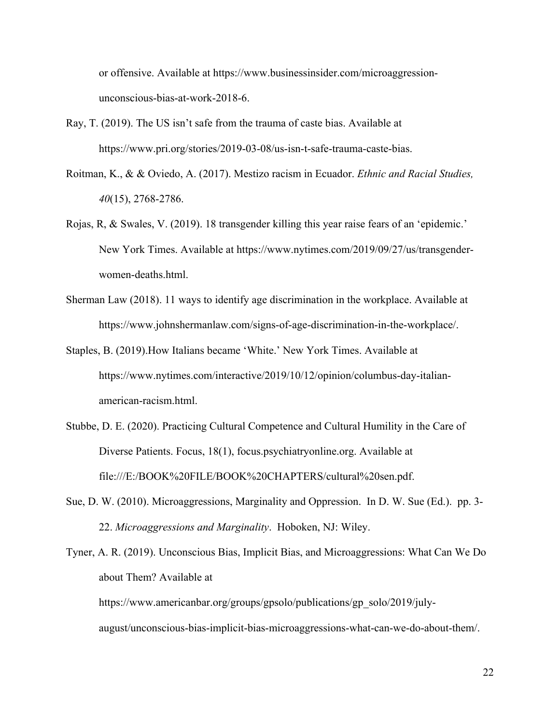or offensive. Available at https://www.businessinsider.com/microaggressionunconscious-bias-at-work-2018-6.

- Ray, T. (2019). The US isn't safe from the trauma of caste bias. Available at https://www.pri.org/stories/2019-03-08/us-isn-t-safe-trauma-caste-bias.
- Roitman, K., & & Oviedo, A. (2017). Mestizo racism in Ecuador. *Ethnic and Racial Studies, 40*(15), 2768-2786.
- Rojas, R, & Swales, V. (2019). 18 transgender killing this year raise fears of an 'epidemic.' New York Times. Available at https://www.nytimes.com/2019/09/27/us/transgenderwomen-deaths.html.
- Sherman Law (2018). 11 ways to identify age discrimination in the workplace. Available at https://www.johnshermanlaw.com/signs-of-age-discrimination-in-the-workplace/.
- Staples, B. (2019).How Italians became 'White.' New York Times. Available at https://www.nytimes.com/interactive/2019/10/12/opinion/columbus-day-italianamerican-racism.html.
- Stubbe, D. E. (2020). Practicing Cultural Competence and Cultural Humility in the Care of Diverse Patients. Focus, 18(1), focus.psychiatryonline.org. Available at file:///E:/BOOK%20FILE/BOOK%20CHAPTERS/cultural%20sen.pdf.
- Sue, D. W. (2010). Microaggressions, Marginality and Oppression. In D. W. Sue (Ed.). pp. 3- 22. *Microaggressions and Marginality*. Hoboken, NJ: Wiley.

Tyner, A. R. (2019). Unconscious Bias, Implicit Bias, and Microaggressions: What Can We Do about Them? Available at https://www.americanbar.org/groups/gpsolo/publications/gp\_solo/2019/julyaugust/unconscious-bias-implicit-bias-microaggressions-what-can-we-do-about-them/.